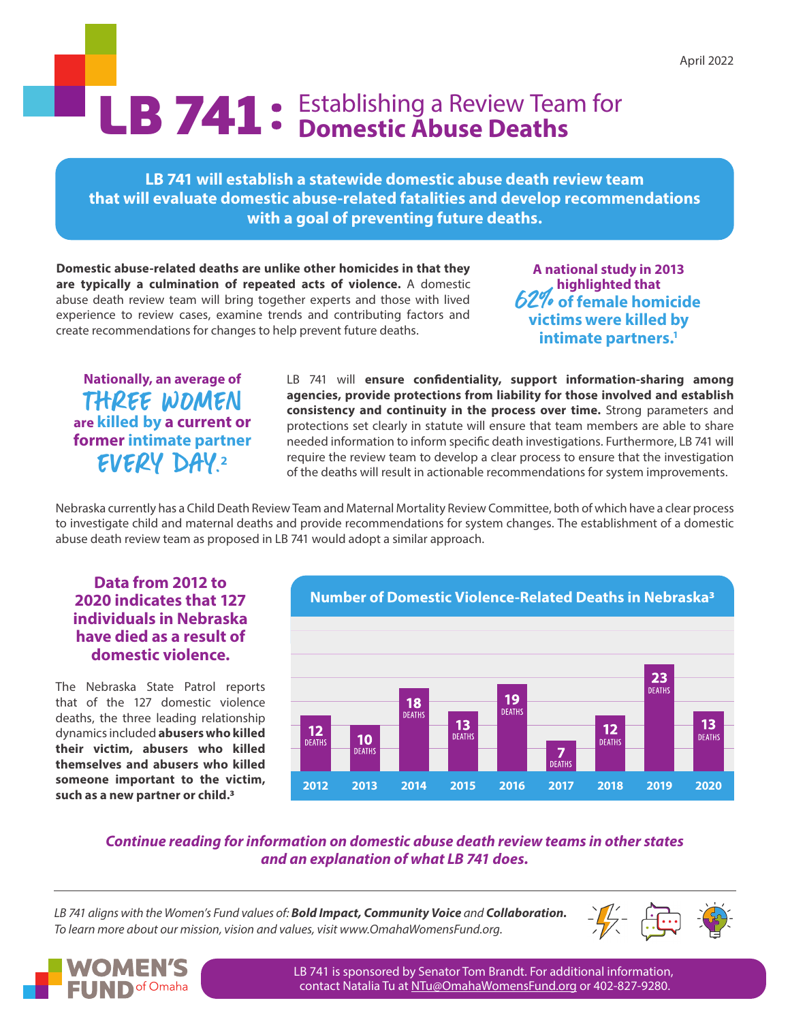# LB 741 : Establishing a Review Team for

**LB 741 will establish a statewide domestic abuse death review team that will evaluate domestic abuse-related fatalities and develop recommendations with a goal of preventing future deaths.**

**Domestic abuse-related deaths are unlike other homicides in that they are typically a culmination of repeated acts of violence.** A domestic abuse death review team will bring together experts and those with lived experience to review cases, examine trends and contributing factors and create recommendations for changes to help prevent future deaths.

**A national study in 2013 highlighted that** 62% **of female homicide victims were killed by intimate partners.1**

**Nationally, an average of**  three women **are killed by a current or former intimate partner** every day.**<sup>2</sup>**

LB 741 will **ensure confidentiality, support information-sharing among agencies, provide protections from liability for those involved and establish consistency and continuity in the process over time.** Strong parameters and protections set clearly in statute will ensure that team members are able to share needed information to inform specific death investigations. Furthermore, LB 741 will require the review team to develop a clear process to ensure that the investigation of the deaths will result in actionable recommendations for system improvements.

Nebraska currently has a Child Death Review Team and Maternal Mortality Review Committee, both of which have a clear process to investigate child and maternal deaths and provide recommendations for system changes. The establishment of a domestic abuse death review team as proposed in LB 741 would adopt a similar approach.

#### **Data from 2012 to 2020 indicates that 127 individuals in Nebraska have died as a result of domestic violence.**

The Nebraska State Patrol reports that of the 127 domestic violence deaths, the three leading relationship dynamics included **abusers who killed their victim, abusers who killed themselves and abusers who killed someone important to the victim, such as a new partner or child.3**



### *Continue reading for information on domestic abuse death review teams in other states and an explanation of what LB 741 does.*

*LB 741 aligns with the Women's Fund values of: Bold Impact, Community Voice and Collaboration. To learn more about our mission, vision and values, visit www.OmahaWomensFund.org.*